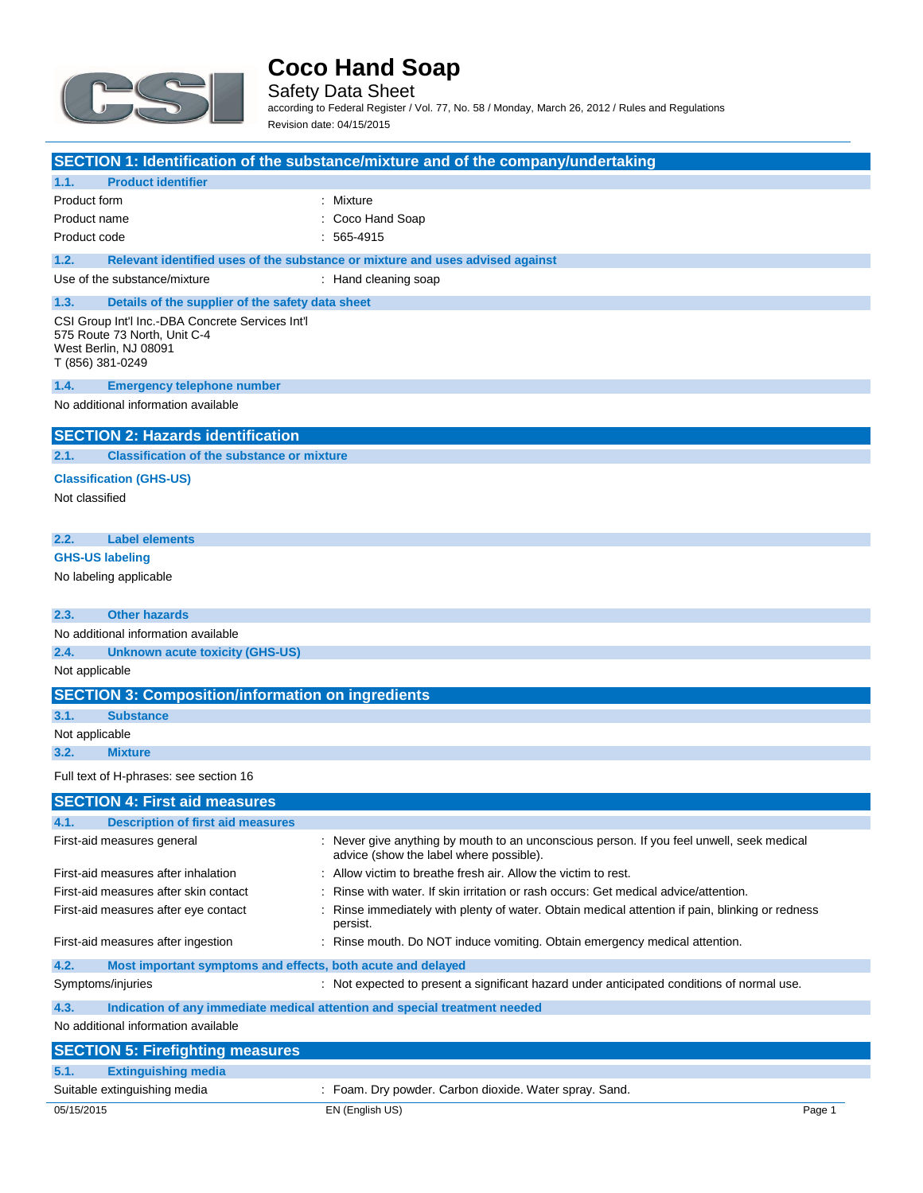

Safety Data Sheet according to Federal Register / Vol. 77, No. 58 / Monday, March 26, 2012 / Rules and Regulations Revision date: 04/15/2015

|              |                                                                                                                               | <b>SECTION 1: Identification of the substance/mixture and of the company/undertaking</b>                                             |
|--------------|-------------------------------------------------------------------------------------------------------------------------------|--------------------------------------------------------------------------------------------------------------------------------------|
| 1.1.         | <b>Product identifier</b>                                                                                                     |                                                                                                                                      |
| Product form |                                                                                                                               | : Mixture                                                                                                                            |
|              | Product name                                                                                                                  | Coco Hand Soap                                                                                                                       |
|              | Product code                                                                                                                  | 565-4915                                                                                                                             |
| 1.2.         |                                                                                                                               | Relevant identified uses of the substance or mixture and uses advised against                                                        |
|              | Use of the substance/mixture                                                                                                  | : Hand cleaning soap                                                                                                                 |
| 1.3.         | Details of the supplier of the safety data sheet                                                                              |                                                                                                                                      |
|              | CSI Group Int'l Inc.-DBA Concrete Services Int'l<br>575 Route 73 North, Unit C-4<br>West Berlin, NJ 08091<br>T (856) 381-0249 |                                                                                                                                      |
| 1.4.         | <b>Emergency telephone number</b>                                                                                             |                                                                                                                                      |
|              | No additional information available                                                                                           |                                                                                                                                      |
|              | <b>SECTION 2: Hazards identification</b>                                                                                      |                                                                                                                                      |
| 2.1.         | <b>Classification of the substance or mixture</b>                                                                             |                                                                                                                                      |
|              | <b>Classification (GHS-US)</b><br>Not classified                                                                              |                                                                                                                                      |
| 2.2.         | <b>Label elements</b>                                                                                                         |                                                                                                                                      |
|              | <b>GHS-US labeling</b>                                                                                                        |                                                                                                                                      |
|              | No labeling applicable                                                                                                        |                                                                                                                                      |
| 2.3.         | <b>Other hazards</b>                                                                                                          |                                                                                                                                      |
|              | No additional information available                                                                                           |                                                                                                                                      |
| 2.4.         | <b>Unknown acute toxicity (GHS-US)</b>                                                                                        |                                                                                                                                      |
|              | Not applicable                                                                                                                |                                                                                                                                      |
|              | <b>SECTION 3: Composition/information on ingredients</b>                                                                      |                                                                                                                                      |
| 3.1.         | <b>Substance</b>                                                                                                              |                                                                                                                                      |
|              | Not applicable                                                                                                                |                                                                                                                                      |
| 3.2.         | <b>Mixture</b>                                                                                                                |                                                                                                                                      |
|              | Full text of H-phrases: see section 16                                                                                        |                                                                                                                                      |
|              | <b>SECTION 4: First aid measures</b>                                                                                          |                                                                                                                                      |
| 4.1.         | <b>Description of first aid measures</b>                                                                                      |                                                                                                                                      |
|              | First-aid measures general                                                                                                    | : Never give anything by mouth to an unconscious person. If you feel unwell, seek medical<br>advice (show the label where possible). |
|              | First-aid measures after inhalation                                                                                           | Allow victim to breathe fresh air. Allow the victim to rest.                                                                         |
|              | First-aid measures after skin contact                                                                                         | Rinse with water. If skin irritation or rash occurs: Get medical advice/attention.                                                   |
|              | First-aid measures after eye contact                                                                                          | Rinse immediately with plenty of water. Obtain medical attention if pain, blinking or redness<br>persist.                            |
|              | First-aid measures after ingestion                                                                                            | : Rinse mouth. Do NOT induce vomiting. Obtain emergency medical attention.                                                           |
| 4.2.         | Most important symptoms and effects, both acute and delayed                                                                   |                                                                                                                                      |
|              | Symptoms/injuries                                                                                                             | : Not expected to present a significant hazard under anticipated conditions of normal use.                                           |
| 4.3.         |                                                                                                                               | Indication of any immediate medical attention and special treatment needed                                                           |
|              | No additional information available                                                                                           |                                                                                                                                      |
|              | <b>SECTION 5: Firefighting measures</b>                                                                                       |                                                                                                                                      |
|              | <b>Extinguishing media</b>                                                                                                    |                                                                                                                                      |

## 05/15/2015 EN (English US) Page 1 **5.1. Extinguishing media** Suitable extinguishing media : Foam. Dry powder. Carbon dioxide. Water spray. Sand.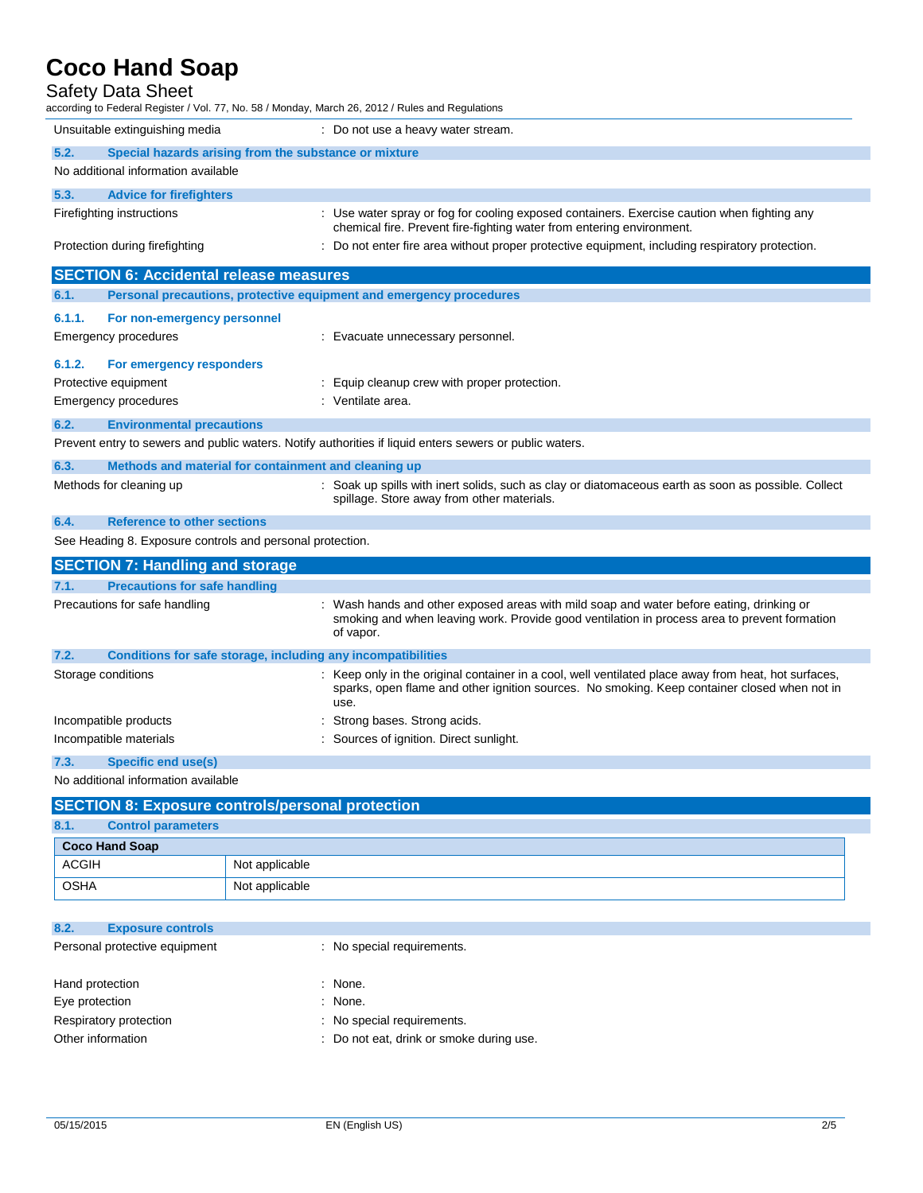### Safety Data Sheet

| Salely Dala Sileel<br>according to Federal Register / Vol. 77, No. 58 / Monday, March 26, 2012 / Rules and Regulations |                                                                                                                                                                                                              |  |  |
|------------------------------------------------------------------------------------------------------------------------|--------------------------------------------------------------------------------------------------------------------------------------------------------------------------------------------------------------|--|--|
| Unsuitable extinguishing media                                                                                         | : Do not use a heavy water stream.                                                                                                                                                                           |  |  |
| 5.2.<br>Special hazards arising from the substance or mixture                                                          |                                                                                                                                                                                                              |  |  |
| No additional information available                                                                                    |                                                                                                                                                                                                              |  |  |
| 5.3.<br><b>Advice for firefighters</b>                                                                                 |                                                                                                                                                                                                              |  |  |
| Firefighting instructions                                                                                              | : Use water spray or fog for cooling exposed containers. Exercise caution when fighting any<br>chemical fire. Prevent fire-fighting water from entering environment.                                         |  |  |
| Protection during firefighting                                                                                         | : Do not enter fire area without proper protective equipment, including respiratory protection.                                                                                                              |  |  |
| <b>SECTION 6: Accidental release measures</b>                                                                          |                                                                                                                                                                                                              |  |  |
| 6.1.<br>Personal precautions, protective equipment and emergency procedures                                            |                                                                                                                                                                                                              |  |  |
| 6.1.1.<br>For non-emergency personnel                                                                                  |                                                                                                                                                                                                              |  |  |
| Emergency procedures                                                                                                   | : Evacuate unnecessary personnel.                                                                                                                                                                            |  |  |
| 6.1.2.<br>For emergency responders                                                                                     |                                                                                                                                                                                                              |  |  |
| Protective equipment                                                                                                   | : Equip cleanup crew with proper protection.                                                                                                                                                                 |  |  |
| Emergency procedures                                                                                                   | : Ventilate area.                                                                                                                                                                                            |  |  |
| 6.2.<br><b>Environmental precautions</b>                                                                               |                                                                                                                                                                                                              |  |  |
| Prevent entry to sewers and public waters. Notify authorities if liquid enters sewers or public waters.                |                                                                                                                                                                                                              |  |  |
| 6.3.<br>Methods and material for containment and cleaning up                                                           |                                                                                                                                                                                                              |  |  |
| Methods for cleaning up                                                                                                | : Soak up spills with inert solids, such as clay or diatomaceous earth as soon as possible. Collect<br>spillage. Store away from other materials.                                                            |  |  |
| 6.4.<br><b>Reference to other sections</b>                                                                             |                                                                                                                                                                                                              |  |  |
| See Heading 8. Exposure controls and personal protection.                                                              |                                                                                                                                                                                                              |  |  |
| <b>SECTION 7: Handling and storage</b>                                                                                 |                                                                                                                                                                                                              |  |  |
| <b>Precautions for safe handling</b><br>7.1.                                                                           |                                                                                                                                                                                                              |  |  |
| Precautions for safe handling                                                                                          | : Wash hands and other exposed areas with mild soap and water before eating, drinking or<br>smoking and when leaving work. Provide good ventilation in process area to prevent formation<br>of vapor.        |  |  |
| 7.2.<br>Conditions for safe storage, including any incompatibilities                                                   |                                                                                                                                                                                                              |  |  |
| Storage conditions                                                                                                     | : Keep only in the original container in a cool, well ventilated place away from heat, hot surfaces,<br>sparks, open flame and other ignition sources. No smoking. Keep container closed when not in<br>use. |  |  |
| Incompatible products                                                                                                  | Strong bases. Strong acids.                                                                                                                                                                                  |  |  |
| Incompatible materials                                                                                                 | Sources of ignition. Direct sunlight.                                                                                                                                                                        |  |  |
| 7.3.<br><b>Specific end use(s)</b>                                                                                     |                                                                                                                                                                                                              |  |  |
| No additional information available                                                                                    |                                                                                                                                                                                                              |  |  |
| <b>SECTION 8: Exposure controls/personal protection</b>                                                                |                                                                                                                                                                                                              |  |  |

| 8.1.                  | <b>Control parameters</b> |                |
|-----------------------|---------------------------|----------------|
| <b>Coco Hand Soap</b> |                           |                |
| <b>ACGIH</b>          |                           | Not applicable |
| <b>OSHA</b>           |                           | Not applicable |

| 8.2.                          | <b>Exposure controls</b> |                                          |
|-------------------------------|--------------------------|------------------------------------------|
| Personal protective equipment |                          | : No special requirements.               |
|                               |                          |                                          |
| Hand protection               |                          | : None.                                  |
| Eye protection                |                          | None.                                    |
|                               | Respiratory protection   | : No special requirements.               |
| Other information             |                          | : Do not eat, drink or smoke during use. |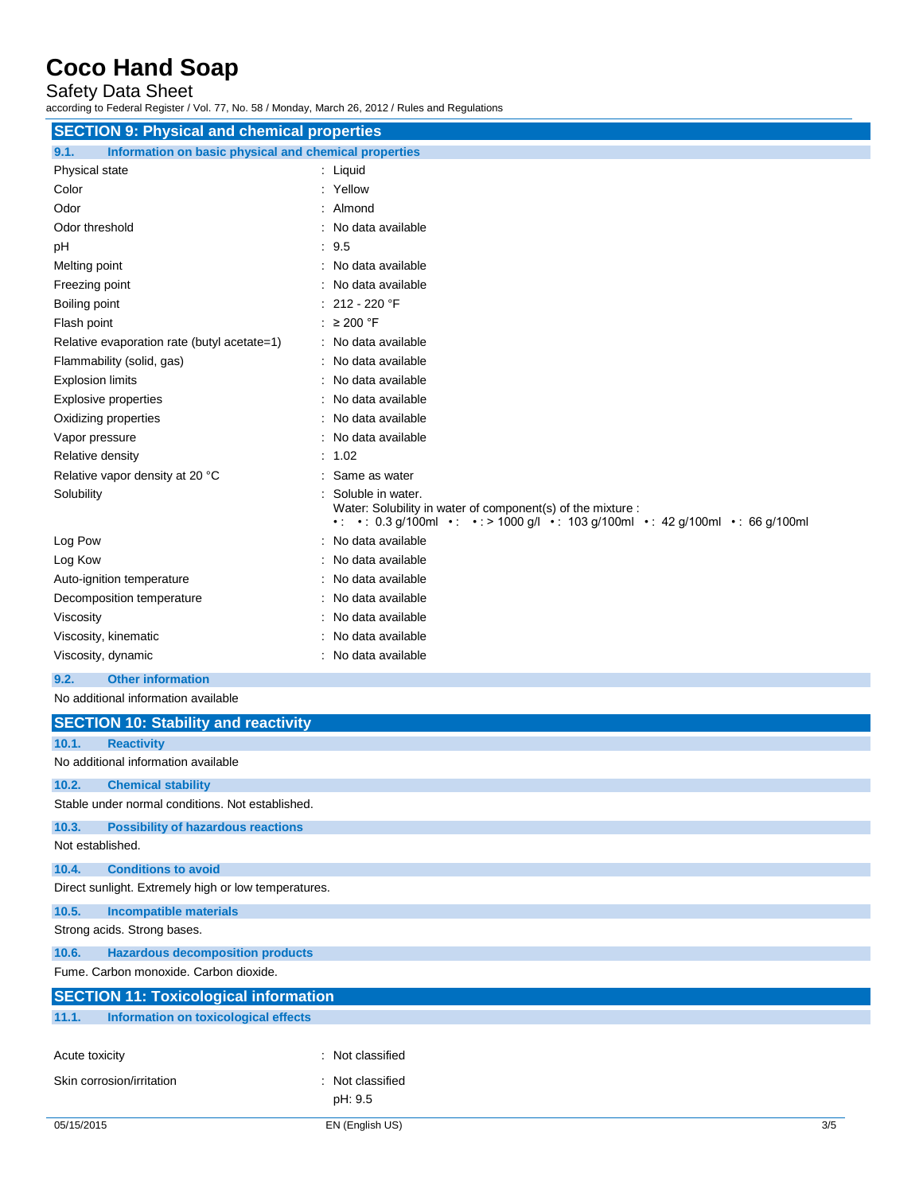### Safety Data Sheet

according to Federal Register / Vol. 77, No. 58 / Monday, March 26, 2012 / Rules and Regulations

| <b>SECTION 9: Physical and chemical properties</b>            |                                                                                                                                                                   |  |  |
|---------------------------------------------------------------|-------------------------------------------------------------------------------------------------------------------------------------------------------------------|--|--|
| Information on basic physical and chemical properties<br>9.1. |                                                                                                                                                                   |  |  |
| Physical state                                                | : Liquid                                                                                                                                                          |  |  |
| Color                                                         | : Yellow                                                                                                                                                          |  |  |
| Odor                                                          | $:$ Almond                                                                                                                                                        |  |  |
| Odor threshold                                                | : No data available                                                                                                                                               |  |  |
| pH                                                            | : 9.5                                                                                                                                                             |  |  |
| Melting point                                                 | No data available                                                                                                                                                 |  |  |
| Freezing point                                                | No data available                                                                                                                                                 |  |  |
| Boiling point                                                 | : 212 - 220 °F                                                                                                                                                    |  |  |
| Flash point                                                   | : $\geq 200$ °F                                                                                                                                                   |  |  |
| Relative evaporation rate (butyl acetate=1)                   | : No data available                                                                                                                                               |  |  |
| Flammability (solid, gas)                                     | : No data available                                                                                                                                               |  |  |
| <b>Explosion limits</b>                                       | : No data available                                                                                                                                               |  |  |
| <b>Explosive properties</b>                                   | : No data available                                                                                                                                               |  |  |
| Oxidizing properties                                          | No data available                                                                                                                                                 |  |  |
| Vapor pressure                                                | No data available                                                                                                                                                 |  |  |
| Relative density                                              | : 1.02                                                                                                                                                            |  |  |
| Relative vapor density at 20 °C                               | Same as water                                                                                                                                                     |  |  |
| Solubility                                                    | Soluble in water.<br>Water: Solubility in water of component(s) of the mixture :<br>•: •: 0.3 g/100ml •: •: > 1000 g/l •: 103 g/100ml •: 42 g/100ml •: 66 g/100ml |  |  |
| Log Pow                                                       | : No data available                                                                                                                                               |  |  |
| Log Kow                                                       | No data available                                                                                                                                                 |  |  |
| Auto-ignition temperature                                     | No data available                                                                                                                                                 |  |  |
| Decomposition temperature                                     | : No data available                                                                                                                                               |  |  |
| Viscosity                                                     | No data available                                                                                                                                                 |  |  |
| Viscosity, kinematic                                          | : No data available                                                                                                                                               |  |  |
| Viscosity, dynamic                                            | : No data available                                                                                                                                               |  |  |
|                                                               |                                                                                                                                                                   |  |  |

## **9.2. Other information**

No additional information available

|                                     | <b>SECTION 10: Stability and reactivity</b>          |     |  |
|-------------------------------------|------------------------------------------------------|-----|--|
| 10.1.                               | <b>Reactivity</b>                                    |     |  |
| No additional information available |                                                      |     |  |
| 10.2.<br><b>Chemical stability</b>  |                                                      |     |  |
|                                     | Stable under normal conditions. Not established.     |     |  |
| 10.3.                               | <b>Possibility of hazardous reactions</b>            |     |  |
| Not established.                    |                                                      |     |  |
| 10.4.                               | <b>Conditions to avoid</b>                           |     |  |
|                                     | Direct sunlight. Extremely high or low temperatures. |     |  |
| 10.5.                               | <b>Incompatible materials</b>                        |     |  |
| Strong acids. Strong bases.         |                                                      |     |  |
| 10.6.                               | <b>Hazardous decomposition products</b>              |     |  |
|                                     | Fume, Carbon monoxide, Carbon dioxide.               |     |  |
|                                     | <b>SECTION 11: Toxicological information</b>         |     |  |
| 11.1.                               | Information on toxicological effects                 |     |  |
|                                     |                                                      |     |  |
| Acute toxicity                      | : Not classified                                     |     |  |
| Skin corrosion/irritation           | : Not classified                                     |     |  |
|                                     | pH: 9.5                                              |     |  |
| 05/15/2015                          | EN (English US)                                      | 3/5 |  |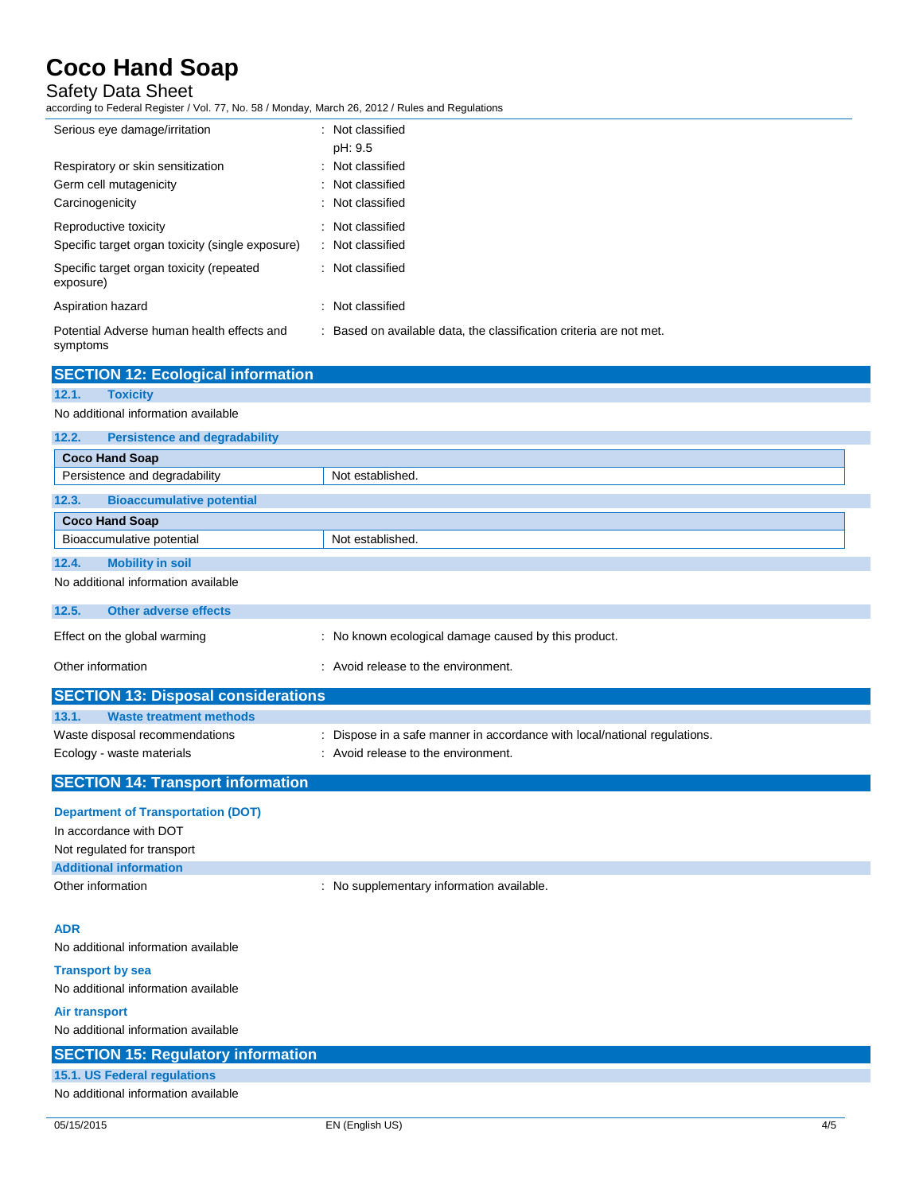## Safety Data Sheet

according to Federal Register / Vol. 77, No. 58 / Monday, March 26, 2012 / Rules and Regulations

| Serious eye damage/irritation                          | : Not classified                                                    |
|--------------------------------------------------------|---------------------------------------------------------------------|
|                                                        | pH: 9.5                                                             |
| Respiratory or skin sensitization                      | : Not classified                                                    |
| Germ cell mutagenicity                                 | : Not classified                                                    |
| Carcinogenicity                                        | : Not classified                                                    |
| Reproductive toxicity                                  | : Not classified                                                    |
| Specific target organ toxicity (single exposure)       | : Not classified                                                    |
| Specific target organ toxicity (repeated<br>exposure)  | : Not classified                                                    |
| Aspiration hazard                                      | : Not classified                                                    |
| Potential Adverse human health effects and<br>symptoms | : Based on available data, the classification criteria are not met. |
| <b>SECTION 12: Ecological information</b>              |                                                                     |
| 12.1.<br><b>Toxicity</b>                               |                                                                     |
| No additional information available                    |                                                                     |
| 12.2.<br><b>Persistence and degradability</b>          |                                                                     |
| <b>Coco Hand Soap</b>                                  |                                                                     |
| Persistence and degradability                          | Not established.                                                    |

| : No known ecological damage caused by this product.                      |  |  |  |  |
|---------------------------------------------------------------------------|--|--|--|--|
| : Avoid release to the environment.                                       |  |  |  |  |
| <b>SECTION 13: Disposal considerations</b>                                |  |  |  |  |
|                                                                           |  |  |  |  |
| : Dispose in a safe manner in accordance with local/national regulations. |  |  |  |  |
| : Avoid release to the environment.                                       |  |  |  |  |
|                                                                           |  |  |  |  |

## **SECTION 14: Transport information**

**12.3. Bioaccumulative potential**

Bioaccumulative potential Not established.

**Coco Hand Soap**

**12.4. Mobility in soil** No additional information available

| <b>Department of Transportation (DOT)</b> |                                           |
|-------------------------------------------|-------------------------------------------|
| In accordance with DOT                    |                                           |
| Not regulated for transport               |                                           |
| <b>Additional information</b>             |                                           |
| Other information                         | : No supplementary information available. |

#### **ADR**

No additional information available

**Transport by sea** No additional information available

**Air transport** No additional information available

## **SECTION 15: Regulatory information 15.1. US Federal regulations** No additional information available